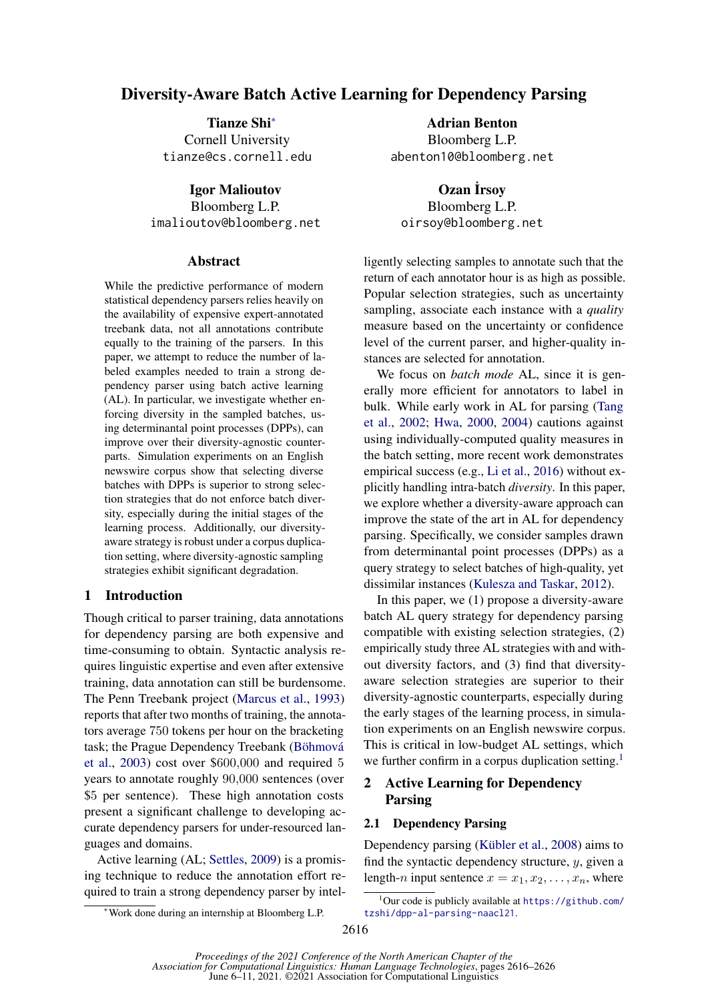# Diversity-Aware Batch Active Learning for Dependency Parsing

Tianze Shi<sup>∗</sup> Cornell University tianze@cs.cornell.edu

Igor Malioutov Bloomberg L.P. imalioutov@bloomberg.net

### Abstract

While the predictive performance of modern statistical dependency parsers relies heavily on the availability of expensive expert-annotated treebank data, not all annotations contribute equally to the training of the parsers. In this paper, we attempt to reduce the number of labeled examples needed to train a strong dependency parser using batch active learning (AL). In particular, we investigate whether enforcing diversity in the sampled batches, using determinantal point processes (DPPs), can improve over their diversity-agnostic counterparts. Simulation experiments on an English newswire corpus show that selecting diverse batches with DPPs is superior to strong selection strategies that do not enforce batch diversity, especially during the initial stages of the learning process. Additionally, our diversityaware strategy is robust under a corpus duplication setting, where diversity-agnostic sampling strategies exhibit significant degradation.

## 1 Introduction

Though critical to parser training, data annotations for dependency parsing are both expensive and time-consuming to obtain. Syntactic analysis requires linguistic expertise and even after extensive training, data annotation can still be burdensome. The Penn Treebank project [\(Marcus et al.,](#page-6-0) [1993\)](#page-6-0) reports that after two months of training, the annotators average 750 tokens per hour on the bracketing task; the Prague Dependency Treebank (Böhmová [et al.,](#page-5-0) [2003\)](#page-5-0) cost over \$600,000 and required 5 years to annotate roughly 90,000 sentences (over \$5 per sentence). These high annotation costs present a significant challenge to developing accurate dependency parsers for under-resourced languages and domains.

Active learning (AL; [Settles,](#page-6-1) [2009\)](#page-6-1) is a promising technique to reduce the annotation effort required to train a strong dependency parser by intel-

Adrian Benton Bloomberg L.P. abenton10@bloomberg.net

Ozan İrsov Bloomberg L.P. oirsoy@bloomberg.net

ligently selecting samples to annotate such that the return of each annotator hour is as high as possible. Popular selection strategies, such as uncertainty sampling, associate each instance with a *quality* measure based on the uncertainty or confidence level of the current parser, and higher-quality instances are selected for annotation.

We focus on *batch mode* AL, since it is generally more efficient for annotators to label in bulk. While early work in AL for parsing [\(Tang](#page-7-0) [et al.,](#page-7-0) [2002;](#page-7-0) [Hwa,](#page-5-1) [2000,](#page-5-1) [2004\)](#page-5-2) cautions against using individually-computed quality measures in the batch setting, more recent work demonstrates empirical success (e.g., [Li et al.,](#page-6-2) [2016\)](#page-6-2) without explicitly handling intra-batch *diversity*. In this paper, we explore whether a diversity-aware approach can improve the state of the art in AL for dependency parsing. Specifically, we consider samples drawn from determinantal point processes (DPPs) as a query strategy to select batches of high-quality, yet dissimilar instances [\(Kulesza and Taskar,](#page-6-3) [2012\)](#page-6-3).

In this paper, we (1) propose a diversity-aware batch AL query strategy for dependency parsing compatible with existing selection strategies, (2) empirically study three AL strategies with and without diversity factors, and (3) find that diversityaware selection strategies are superior to their diversity-agnostic counterparts, especially during the early stages of the learning process, in simulation experiments on an English newswire corpus. This is critical in low-budget AL settings, which we further confirm in a corpus duplication setting.<sup>[1](#page-0-0)</sup>

## 2 Active Learning for Dependency Parsing

## 2.1 Dependency Parsing

Dependency parsing (Kübler et al., [2008\)](#page-6-4) aims to find the syntactic dependency structure,  $y$ , given a length-n input sentence  $x = x_1, x_2, \ldots, x_n$ , where

<sup>∗</sup>Work done during an internship at Bloomberg L.P.

<span id="page-0-0"></span> $1$ Our code is publicly available at [https://github.com/](https://github.com/tzshi/dpp-al-parsing-naacl21) [tzshi/dpp-al-parsing-naacl21](https://github.com/tzshi/dpp-al-parsing-naacl21).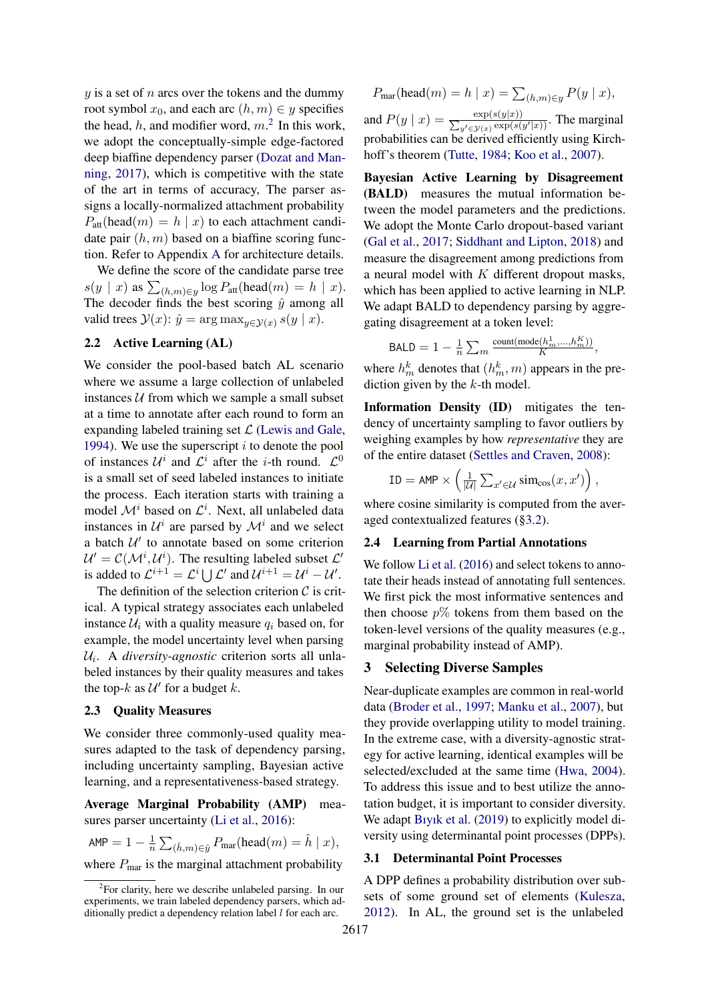$y$  is a set of n arcs over the tokens and the dummy root symbol  $x_0$ , and each arc  $(h, m) \in y$  specifies the head, h, and modifier word,  $m<sup>2</sup>$  $m<sup>2</sup>$  $m<sup>2</sup>$  In this work, we adopt the conceptually-simple edge-factored deep biaffine dependency parser [\(Dozat and Man](#page-5-3)[ning,](#page-5-3) [2017\)](#page-5-3), which is competitive with the state of the art in terms of accuracy, The parser assigns a locally-normalized attachment probability  $P_{\text{att}}(\text{head}(m) = h \mid x)$  to each attachment candidate pair  $(h, m)$  based on a biaffine scoring function. Refer to Appendix [A](#page-8-0) for architecture details.

We define the score of the candidate parse tree  $s(y \mid x)$  as  $\sum_{(h,m)\in y} \log P_{\text{att}}(\text{head}(m) = h \mid x)$ . The decoder finds the best scoring  $\hat{y}$  among all valid trees  $\mathcal{Y}(x)$ :  $\hat{y} = \arg \max_{y \in \mathcal{Y}(x)} s(y | x)$ .

### 2.2 Active Learning (AL)

We consider the pool-based batch AL scenario where we assume a large collection of unlabeled instances  $U$  from which we sample a small subset at a time to annotate after each round to form an expanding labeled training set  $\mathcal L$  [\(Lewis and Gale,](#page-6-5) [1994\)](#page-6-5). We use the superscript  $i$  to denote the pool of instances  $\mathcal{U}^i$  and  $\mathcal{L}^i$  after the *i*-th round.  $\mathcal{L}^0$ is a small set of seed labeled instances to initiate the process. Each iteration starts with training a model  $\mathcal{M}^i$  based on  $\mathcal{L}^i$ . Next, all unlabeled data instances in  $\mathcal{U}^i$  are parsed by  $\mathcal{M}^i$  and we select a batch  $U'$  to annotate based on some criterion  $\mathcal{U}' = \mathcal{C}(\mathcal{M}^i, \mathcal{U}^i)$ . The resulting labeled subset  $\mathcal{L}'$ is added to  $\mathcal{L}^{i+1} = \mathcal{L}^i \bigcup \mathcal{L}'$  and  $\mathcal{U}^{i+1} = \mathcal{U}^i - \mathcal{U}'$ .

The definition of the selection criterion  $C$  is critical. A typical strategy associates each unlabeled instance  $\mathcal{U}_i$  with a quality measure  $q_i$  based on, for example, the model uncertainty level when parsing Ui . A *diversity-agnostic* criterion sorts all unlabeled instances by their quality measures and takes the top- $k$  as  $\mathcal{U}'$  for a budget  $k$ .

### 2.3 Quality Measures

We consider three commonly-used quality measures adapted to the task of dependency parsing, including uncertainty sampling, Bayesian active learning, and a representativeness-based strategy.

Average Marginal Probability (AMP) mea-sures parser uncertainty [\(Li et al.,](#page-6-2) [2016\)](#page-6-2):

$$
\text{AMP} = 1 - \frac{1}{n} \sum_{(\hat{h}, m) \in \hat{y}} P_{\text{mar}}(\text{head}(m) = \hat{h} \mid x),
$$

where  $P_{\text{mar}}$  is the marginal attachment probability

$$
P_{\text{mar}}(\text{head}(m) = h \mid x) = \sum_{(h,m) \in y} P(y \mid x),
$$

and  $P(y \mid x) = \frac{\exp(s(y \mid x))}{\sum_{y' \in \mathcal{Y}(x)} \exp(s)}$  $\frac{\exp(s(y|x))}{(y' \in y(x) \exp(s(y'|x)))}$ . The marginal probabilities can be derived efficiently using Kirch-hoff's theorem [\(Tutte,](#page-7-1) [1984;](#page-7-1) [Koo et al.,](#page-6-6) [2007\)](#page-6-6).

Bayesian Active Learning by Disagreement (BALD) measures the mutual information between the model parameters and the predictions. We adopt the Monte Carlo dropout-based variant [\(Gal et al.,](#page-5-4) [2017;](#page-5-4) [Siddhant and Lipton,](#page-7-2) [2018\)](#page-7-2) and measure the disagreement among predictions from a neural model with  $K$  different dropout masks, which has been applied to active learning in NLP. We adapt BALD to dependency parsing by aggregating disagreement at a token level:

$$
\text{BALD} = 1 - \frac{1}{n} \sum_{m} \frac{\text{count}(\text{mode}(h_m^1, \ldots, h_m^K))}{K},
$$

where  $h_m^k$  denotes that  $(h_m^k, m)$  appears in the prediction given by the  $k$ -th model.

Information Density (ID) mitigates the tendency of uncertainty sampling to favor outliers by weighing examples by how *representative* they are of the entire dataset [\(Settles and Craven,](#page-6-7) [2008\)](#page-6-7):

$$
\text{ID} = \text{AMP} \times \left(\frac{1}{|\mathcal{U}|}\sum_{x' \in \mathcal{U}} \text{sim}_{\text{cos}}(x, x')\right),
$$

where cosine similarity is computed from the averaged contextualized features ([§3.2\)](#page-2-0).

#### 2.4 Learning from Partial Annotations

We follow [Li et al.](#page-6-2) [\(2016\)](#page-6-2) and select tokens to annotate their heads instead of annotating full sentences. We first pick the most informative sentences and then choose  $p\%$  tokens from them based on the token-level versions of the quality measures (e.g., marginal probability instead of AMP).

### 3 Selecting Diverse Samples

Near-duplicate examples are common in real-world data [\(Broder et al.,](#page-5-5) [1997;](#page-5-5) [Manku et al.,](#page-6-8) [2007\)](#page-6-8), but they provide overlapping utility to model training. In the extreme case, with a diversity-agnostic strategy for active learning, identical examples will be selected/excluded at the same time [\(Hwa,](#page-5-2) [2004\)](#page-5-2). To address this issue and to best utilize the annotation budget, it is important to consider diversity. We adapt [Bıyık et al.](#page-5-6) [\(2019\)](#page-5-6) to explicitly model diversity using determinantal point processes (DPPs).

#### 3.1 Determinantal Point Processes

A DPP defines a probability distribution over subsets of some ground set of elements [\(Kulesza,](#page-6-9) [2012\)](#page-6-9). In AL, the ground set is the unlabeled

<span id="page-1-0"></span><sup>&</sup>lt;sup>2</sup>For clarity, here we describe unlabeled parsing. In our experiments, we train labeled dependency parsers, which additionally predict a dependency relation label  $l$  for each arc.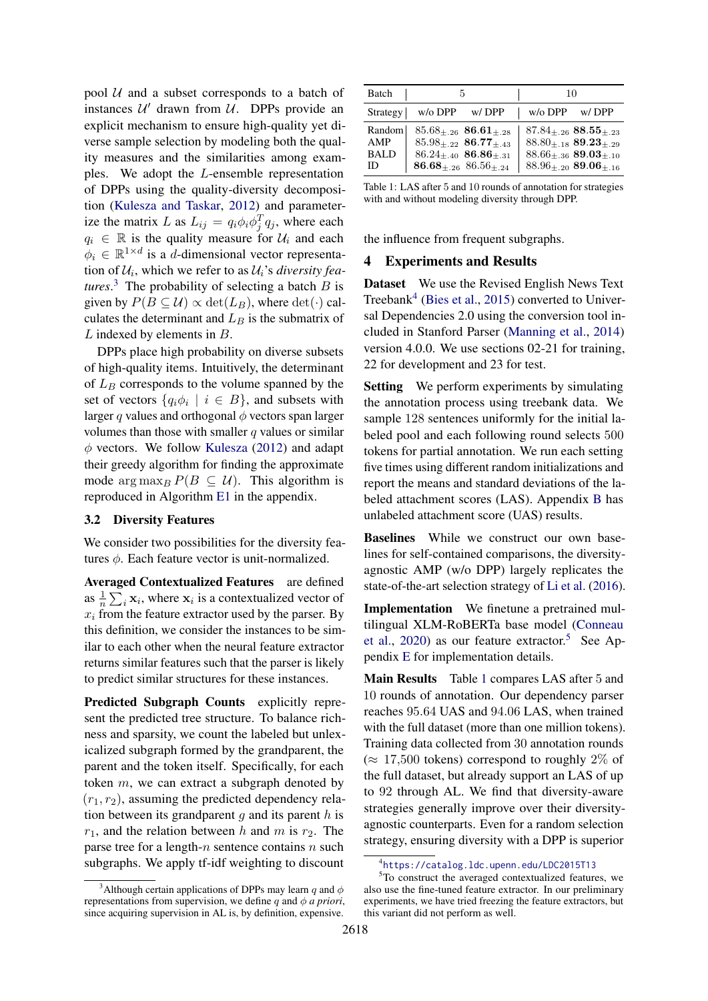pool  $U$  and a subset corresponds to a batch of instances  $U'$  drawn from  $U$ . DPPs provide an explicit mechanism to ensure high-quality yet diverse sample selection by modeling both the quality measures and the similarities among examples. We adopt the L-ensemble representation of DPPs using the quality-diversity decomposition [\(Kulesza and Taskar,](#page-6-3) [2012\)](#page-6-3) and parameterize the matrix L as  $L_{ij} = q_i \phi_i \phi_j^T q_j$ , where each  $q_i \in \mathbb{R}$  is the quality measure for  $\mathcal{U}_i$  and each  $\phi_i \in \mathbb{R}^{1 \times d}$  is a d-dimensional vector representation of  $U_i$ , which we refer to as  $U_i$ 's *diversity features*.<sup>[3](#page-2-1)</sup> The probability of selecting a batch  $B$  is given by  $P(B \subseteq \mathcal{U}) \propto \det(L_B)$ , where  $\det(\cdot)$  calculates the determinant and  $L_B$  is the submatrix of L indexed by elements in B.

DPPs place high probability on diverse subsets of high-quality items. Intuitively, the determinant of  $L_B$  corresponds to the volume spanned by the set of vectors  $\{q_i\phi_i \mid i \in B\}$ , and subsets with larger q values and orthogonal  $\phi$  vectors span larger volumes than those with smaller  $q$  values or similar  $\phi$  vectors. We follow [Kulesza](#page-6-9) [\(2012\)](#page-6-9) and adapt their greedy algorithm for finding the approximate mode  $\arg \max_B P(B \subseteq \mathcal{U})$ . This algorithm is reproduced in Algorithm [E1](#page-10-0) in the appendix.

#### <span id="page-2-0"></span>3.2 Diversity Features

We consider two possibilities for the diversity features  $\phi$ . Each feature vector is unit-normalized.

Averaged Contextualized Features are defined as  $\frac{1}{n} \sum_i \mathbf{x}_i$ , where  $\mathbf{x}_i$  is a contextualized vector of  $x_i$  from the feature extractor used by the parser. By this definition, we consider the instances to be similar to each other when the neural feature extractor returns similar features such that the parser is likely to predict similar structures for these instances.

Predicted Subgraph Counts explicitly represent the predicted tree structure. To balance richness and sparsity, we count the labeled but unlexicalized subgraph formed by the grandparent, the parent and the token itself. Specifically, for each token m, we can extract a subgraph denoted by  $(r_1, r_2)$ , assuming the predicted dependency relation between its grandparent  $q$  and its parent  $h$  is  $r_1$ , and the relation between h and m is  $r_2$ . The parse tree for a length- $n$  sentence contains  $n$  such subgraphs. We apply tf-idf weighting to discount

<span id="page-2-4"></span>

| Batch                              | .h                                                                                                                                                  |       | 10                |                                                                                                                                       |
|------------------------------------|-----------------------------------------------------------------------------------------------------------------------------------------------------|-------|-------------------|---------------------------------------------------------------------------------------------------------------------------------------|
| Strategy                           | $w$ / $\circ$ DPP                                                                                                                                   | w/DPP | $w$ / $\circ$ DPP | w/DPP                                                                                                                                 |
| Random<br>AMP<br><b>BALD</b><br>ID | $85.68_{+.26}$ 86.61 <sub>+.28</sub><br>$85.98_{+22}$ 86.77 <sub>+43</sub><br>$86.24_{+.40}$ 86.86 <sub>+.31</sub><br>$86.68_{+.26}$ $86.56_{+.24}$ |       |                   | $87.84_{\pm.26}$ $88.55_{\pm.23}$<br>$88.80_{+.18}$ $89.23_{+.29}$<br>$88.66 + .36$ 89.03+.10<br>$88.96_{+.20}$ 89.06 <sub>+.16</sub> |

Table 1: LAS after 5 and 10 rounds of annotation for strategies with and without modeling diversity through DPP.

the influence from frequent subgraphs.

#### 4 Experiments and Results

Dataset We use the Revised English News Text Treebank<sup>[4](#page-2-2)</sup> [\(Bies et al.,](#page-5-7) [2015\)](#page-5-7) converted to Universal Dependencies 2.0 using the conversion tool included in Stanford Parser [\(Manning et al.,](#page-6-10) [2014\)](#page-6-10) version 4.0.0. We use sections 02-21 for training, 22 for development and 23 for test.

Setting We perform experiments by simulating the annotation process using treebank data. We sample 128 sentences uniformly for the initial labeled pool and each following round selects 500 tokens for partial annotation. We run each setting five times using different random initializations and report the means and standard deviations of the labeled attachment scores (LAS). Appendix [B](#page-8-1) has unlabeled attachment score (UAS) results.

Baselines While we construct our own baselines for self-contained comparisons, the diversityagnostic AMP (w/o DPP) largely replicates the state-of-the-art selection strategy of [Li et al.](#page-6-2) [\(2016\)](#page-6-2).

Implementation We finetune a pretrained multilingual XLM-RoBERTa base model [\(Conneau](#page-5-8) [et al.,](#page-5-8) [2020\)](#page-5-8) as our feature extractor.<sup>[5](#page-2-3)</sup> See Appendix [E](#page-10-1) for implementation details.

Main Results Table [1](#page-2-4) compares LAS after 5 and 10 rounds of annotation. Our dependency parser reaches 95.64 UAS and 94.06 LAS, when trained with the full dataset (more than one million tokens). Training data collected from 30 annotation rounds  $(\approx 17,500$  tokens) correspond to roughly 2% of the full dataset, but already support an LAS of up to 92 through AL. We find that diversity-aware strategies generally improve over their diversityagnostic counterparts. Even for a random selection strategy, ensuring diversity with a DPP is superior

<span id="page-2-1"></span><sup>&</sup>lt;sup>3</sup>Although certain applications of DPPs may learn q and  $\phi$ representations from supervision, we define q and  $\phi$  *a priori*, since acquiring supervision in AL is, by definition, expensive.

<span id="page-2-3"></span><span id="page-2-2"></span><sup>4</sup> <https://catalog.ldc.upenn.edu/LDC2015T13>

<sup>5</sup>To construct the averaged contextualized features, we also use the fine-tuned feature extractor. In our preliminary experiments, we have tried freezing the feature extractors, but this variant did not perform as well.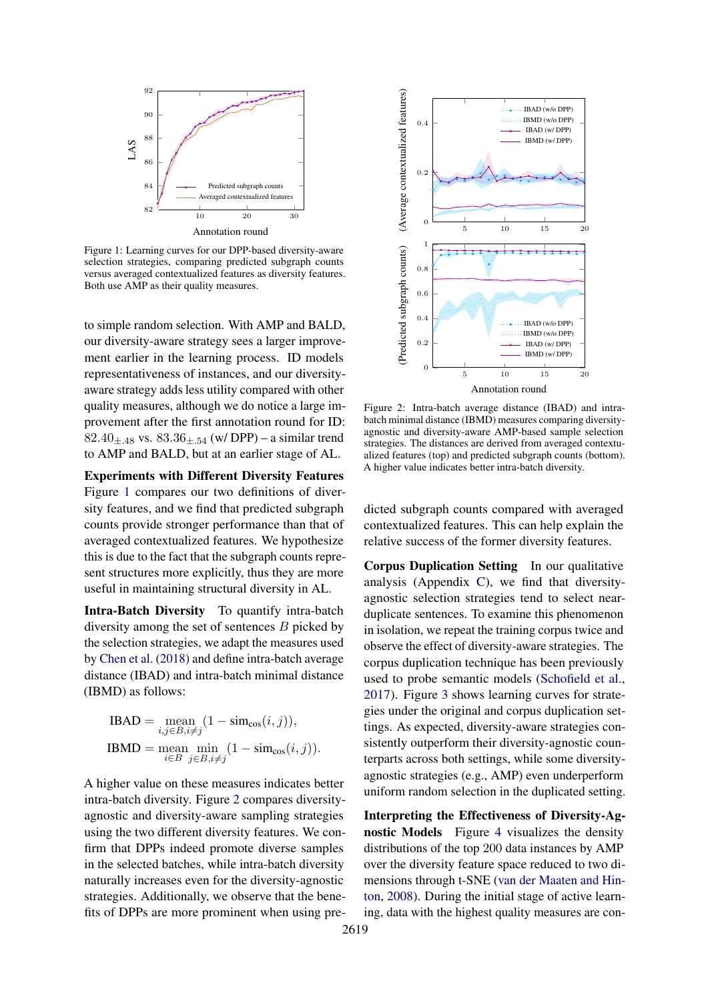<span id="page-3-0"></span>

Figure 1: Learning curves for our DPP-based diversity-aware selection strategies, comparing predicted subgraph counts versus averaged contextualized features as diversity features. Both use AMP as their quality measures.

to simple random selection. With AMP and BALD, our diversity-aware strategy sees a larger improvement earlier in the learning process. ID models representativeness of instances, and our diversityaware strategy adds less utility compared with other quality measures, although we do notice a large improvement after the first annotation round for ID: 82.40 $+$ <sub>48</sub> vs. 83.36 $+$ <sub>54</sub> (w/ DPP) – a similar trend to AMP and BALD, but at an earlier stage of AL.

Experiments with Different Diversity Features Figure [1](#page-3-0) compares our two definitions of diversity features, and we find that predicted subgraph counts provide stronger performance than that of averaged contextualized features. We hypothesize this is due to the fact that the subgraph counts represent structures more explicitly, thus they are more useful in maintaining structural diversity in AL.

Intra-Batch Diversity To quantify intra-batch diversity among the set of sentences B picked by the selection strategies, we adapt the measures used by [Chen et al.](#page-5-9) [\(2018\)](#page-5-9) and define intra-batch average distance (IBAD) and intra-batch minimal distance (IBMD) as follows:

IBAD = mean 
$$
\sum_{i,j \in B, i \neq j} (1 - \text{sim}_{\cos}(i, j)),
$$
  
IBMD = mean min 
$$
\min_{i \in B} (1 - \text{sim}_{\cos}(i, j)).
$$

A higher value on these measures indicates better intra-batch diversity. Figure [2](#page-3-1) compares diversityagnostic and diversity-aware sampling strategies using the two different diversity features. We confirm that DPPs indeed promote diverse samples in the selected batches, while intra-batch diversity naturally increases even for the diversity-agnostic strategies. Additionally, we observe that the benefits of DPPs are more prominent when using pre-

<span id="page-3-1"></span>

Figure 2: Intra-batch average distance (IBAD) and intrabatch minimal distance (IBMD) measures comparing diversityagnostic and diversity-aware AMP-based sample selection strategies. The distances are derived from averaged contextualized features (top) and predicted subgraph counts (bottom). A higher value indicates better intra-batch diversity.

dicted subgraph counts compared with averaged contextualized features. This can help explain the relative success of the former diversity features.

Corpus Duplication Setting In our qualitative analysis (Appendix [C\)](#page-8-2), we find that diversityagnostic selection strategies tend to select nearduplicate sentences. To examine this phenomenon in isolation, we repeat the training corpus twice and observe the effect of diversity-aware strategies. The corpus duplication technique has been previously used to probe semantic models [\(Schofield et al.,](#page-6-11) [2017\)](#page-6-11). Figure [3](#page-4-0) shows learning curves for strategies under the original and corpus duplication settings. As expected, diversity-aware strategies consistently outperform their diversity-agnostic counterparts across both settings, while some diversityagnostic strategies (e.g., AMP) even underperform uniform random selection in the duplicated setting.

Interpreting the Effectiveness of Diversity-Agnostic Models Figure [4](#page-4-1) visualizes the density distributions of the top 200 data instances by AMP over the diversity feature space reduced to two dimensions through t-SNE [\(van der Maaten and Hin](#page-7-3)[ton,](#page-7-3) [2008\)](#page-7-3). During the initial stage of active learning, data with the highest quality measures are con-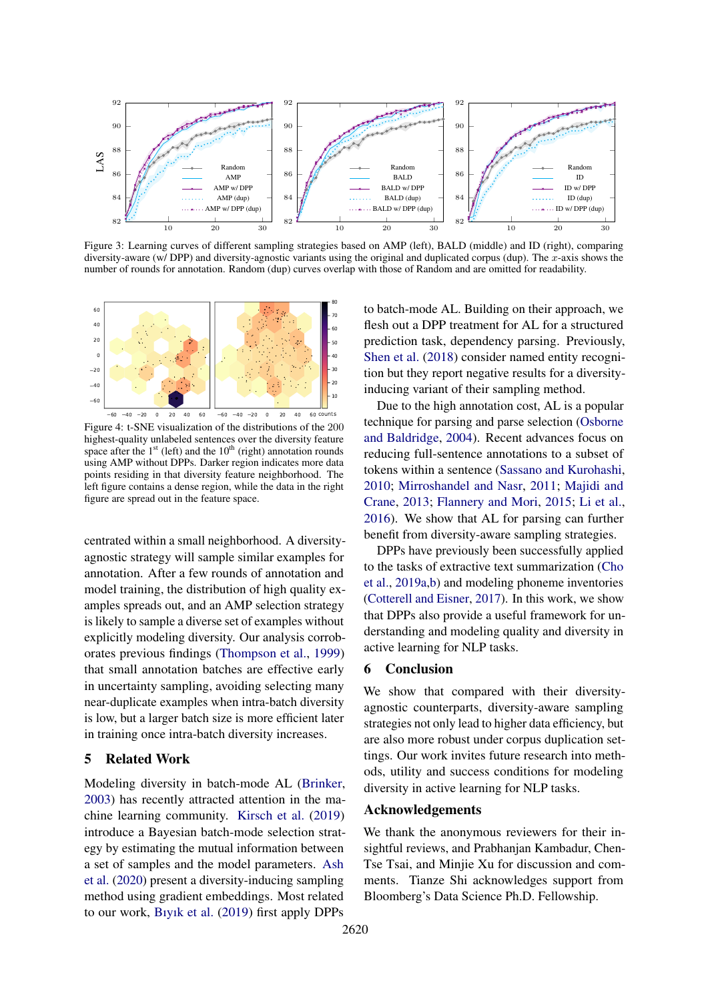<span id="page-4-0"></span>

Figure 3: Learning curves of different sampling strategies based on AMP (left), BALD (middle) and ID (right), comparing diversity-aware (w/ DPP) and diversity-agnostic variants using the original and duplicated corpus (dup). The  $x$ -axis shows the number of rounds for annotation. Random (dup) curves overlap with those of Random and are omitted for readability.

<span id="page-4-1"></span>

Figure 4: t-SNE visualization of the distributions of the 200 highest-quality unlabeled sentences over the diversity feature space after the  $1<sup>st</sup>$  (left) and the  $10<sup>th</sup>$  (right) annotation rounds using AMP without DPPs. Darker region indicates more data points residing in that diversity feature neighborhood. The left figure contains a dense region, while the data in the right figure are spread out in the feature space.

centrated within a small neighborhood. A diversityagnostic strategy will sample similar examples for annotation. After a few rounds of annotation and model training, the distribution of high quality examples spreads out, and an AMP selection strategy is likely to sample a diverse set of examples without explicitly modeling diversity. Our analysis corroborates previous findings [\(Thompson et al.,](#page-7-4) [1999\)](#page-7-4) that small annotation batches are effective early in uncertainty sampling, avoiding selecting many near-duplicate examples when intra-batch diversity is low, but a larger batch size is more efficient later in training once intra-batch diversity increases.

### 5 Related Work

Modeling diversity in batch-mode AL [\(Brinker,](#page-5-10) [2003\)](#page-5-10) has recently attracted attention in the machine learning community. [Kirsch et al.](#page-5-11) [\(2019\)](#page-5-11) introduce a Bayesian batch-mode selection strategy by estimating the mutual information between a set of samples and the model parameters. [Ash](#page-5-12) [et al.](#page-5-12) [\(2020\)](#page-5-12) present a diversity-inducing sampling method using gradient embeddings. Most related to our work, [Bıyık et al.](#page-5-6) [\(2019\)](#page-5-6) first apply DPPs

to batch-mode AL. Building on their approach, we flesh out a DPP treatment for AL for a structured prediction task, dependency parsing. Previously, [Shen et al.](#page-6-12) [\(2018\)](#page-6-12) consider named entity recognition but they report negative results for a diversityinducing variant of their sampling method.

Due to the high annotation cost, AL is a popular technique for parsing and parse selection [\(Osborne](#page-6-13) [and Baldridge,](#page-6-13) [2004\)](#page-6-13). Recent advances focus on reducing full-sentence annotations to a subset of tokens within a sentence [\(Sassano and Kurohashi,](#page-6-14) [2010;](#page-6-14) [Mirroshandel and Nasr,](#page-6-15) [2011;](#page-6-15) [Majidi and](#page-6-16) [Crane,](#page-6-16) [2013;](#page-6-16) [Flannery and Mori,](#page-5-13) [2015;](#page-5-13) [Li et al.,](#page-6-2) [2016\)](#page-6-2). We show that AL for parsing can further benefit from diversity-aware sampling strategies.

DPPs have previously been successfully applied to the tasks of extractive text summarization [\(Cho](#page-5-14) [et al.,](#page-5-14) [2019a,](#page-5-14)[b\)](#page-5-15) and modeling phoneme inventories [\(Cotterell and Eisner,](#page-5-16) [2017\)](#page-5-16). In this work, we show that DPPs also provide a useful framework for understanding and modeling quality and diversity in active learning for NLP tasks.

#### 6 Conclusion

We show that compared with their diversityagnostic counterparts, diversity-aware sampling strategies not only lead to higher data efficiency, but are also more robust under corpus duplication settings. Our work invites future research into methods, utility and success conditions for modeling diversity in active learning for NLP tasks.

#### Acknowledgements

We thank the anonymous reviewers for their insightful reviews, and Prabhanjan Kambadur, Chen-Tse Tsai, and Minjie Xu for discussion and comments. Tianze Shi acknowledges support from Bloomberg's Data Science Ph.D. Fellowship.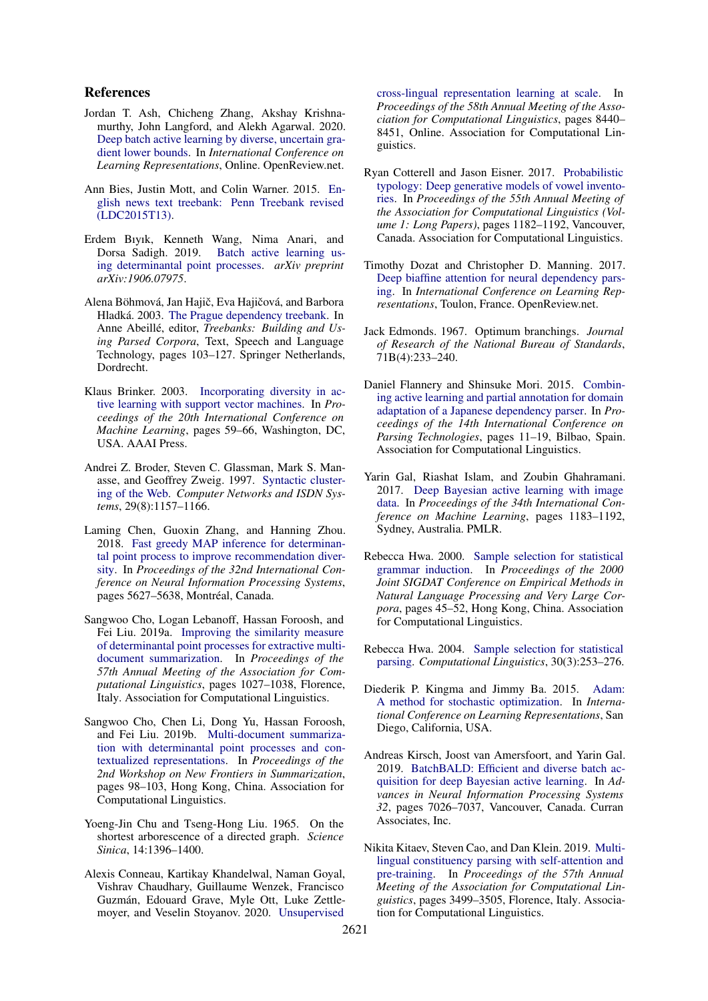#### References

- <span id="page-5-12"></span>Jordan T. Ash, Chicheng Zhang, Akshay Krishnamurthy, John Langford, and Alekh Agarwal. 2020. [Deep batch active learning by diverse, uncertain gra](https://openreview.net/forum?id=ryghZJBKPS)[dient lower bounds.](https://openreview.net/forum?id=ryghZJBKPS) In *International Conference on Learning Representations*, Online. OpenReview.net.
- <span id="page-5-7"></span>Ann Bies, Justin Mott, and Colin Warner. 2015. [En](https://catalog.ldc.upenn.edu/LDC2015T13)[glish news text treebank: Penn Treebank revised](https://catalog.ldc.upenn.edu/LDC2015T13) [\(LDC2015T13\).](https://catalog.ldc.upenn.edu/LDC2015T13)
- <span id="page-5-6"></span>Erdem Bıyık, Kenneth Wang, Nima Anari, and [Batch active learning us](https://arxiv.org/pdf/1906.07975.pdf)[ing determinantal point processes.](https://arxiv.org/pdf/1906.07975.pdf) *arXiv preprint arXiv:1906.07975*.
- <span id="page-5-0"></span>Alena Böhmová, Jan Hajič, Eva Hajičová, and Barbora Hladká. 2003. [The Prague dependency treebank.](https://doi.org/10.1007/978-94-010-0201-1_7) In Anne Abeillé, editor, *Treebanks: Building and Using Parsed Corpora*, Text, Speech and Language Technology, pages 103–127. Springer Netherlands, Dordrecht.
- <span id="page-5-10"></span>Klaus Brinker. 2003. [Incorporating diversity in ac](https://www.aaai.org/Papers/ICML/2003/ICML03-011.pdf)[tive learning with support vector machines.](https://www.aaai.org/Papers/ICML/2003/ICML03-011.pdf) In *Proceedings of the 20th International Conference on Machine Learning*, pages 59–66, Washington, DC, USA. AAAI Press.
- <span id="page-5-5"></span>Andrei Z. Broder, Steven C. Glassman, Mark S. Manasse, and Geoffrey Zweig. 1997. [Syntactic cluster](https://doi.org/10.1016/S0169-7552(97)00031-7)[ing of the Web.](https://doi.org/10.1016/S0169-7552(97)00031-7) *Computer Networks and ISDN Systems*, 29(8):1157–1166.
- <span id="page-5-9"></span>Laming Chen, Guoxin Zhang, and Hanning Zhou. 2018. [Fast greedy MAP inference for determinan](https://dl.acm.org/doi/10.5555/3327345.3327465)[tal point process to improve recommendation diver](https://dl.acm.org/doi/10.5555/3327345.3327465)[sity.](https://dl.acm.org/doi/10.5555/3327345.3327465) In *Proceedings of the 32nd International Conference on Neural Information Processing Systems*, pages 5627-5638, Montréal, Canada.
- <span id="page-5-14"></span>Sangwoo Cho, Logan Lebanoff, Hassan Foroosh, and Fei Liu. 2019a. [Improving the similarity measure](https://doi.org/10.18653/v1/P19-1098) [of determinantal point processes for extractive multi](https://doi.org/10.18653/v1/P19-1098)[document summarization.](https://doi.org/10.18653/v1/P19-1098) In *Proceedings of the 57th Annual Meeting of the Association for Computational Linguistics*, pages 1027–1038, Florence, Italy. Association for Computational Linguistics.
- <span id="page-5-15"></span>Sangwoo Cho, Chen Li, Dong Yu, Hassan Foroosh, and Fei Liu. 2019b. [Multi-document summariza](https://doi.org/10.18653/v1/D19-5412)[tion with determinantal point processes and con](https://doi.org/10.18653/v1/D19-5412)[textualized representations.](https://doi.org/10.18653/v1/D19-5412) In *Proceedings of the 2nd Workshop on New Frontiers in Summarization*, pages 98–103, Hong Kong, China. Association for Computational Linguistics.
- <span id="page-5-18"></span>Yoeng-Jin Chu and Tseng-Hong Liu. 1965. On the shortest arborescence of a directed graph. *Science Sinica*, 14:1396–1400.
- <span id="page-5-8"></span>Alexis Conneau, Kartikay Khandelwal, Naman Goyal, Vishrav Chaudhary, Guillaume Wenzek, Francisco Guzman, Edouard Grave, Myle Ott, Luke Zettle- ´ moyer, and Veselin Stoyanov. 2020. [Unsupervised](https://doi.org/10.18653/v1/2020.acl-main.747)

[cross-lingual representation learning at scale.](https://doi.org/10.18653/v1/2020.acl-main.747) In *Proceedings of the 58th Annual Meeting of the Association for Computational Linguistics*, pages 8440– 8451, Online. Association for Computational Linguistics.

- <span id="page-5-16"></span>Ryan Cotterell and Jason Eisner. 2017. [Probabilistic](https://doi.org/10.18653/v1/P17-1109) [typology: Deep generative models of vowel invento](https://doi.org/10.18653/v1/P17-1109)[ries.](https://doi.org/10.18653/v1/P17-1109) In *Proceedings of the 55th Annual Meeting of the Association for Computational Linguistics (Volume 1: Long Papers)*, pages 1182–1192, Vancouver, Canada. Association for Computational Linguistics.
- <span id="page-5-3"></span>Timothy Dozat and Christopher D. Manning. 2017. [Deep biaffine attention for neural dependency pars](https://openreview.net/forum?id=Hk95PK9le)[ing.](https://openreview.net/forum?id=Hk95PK9le) In *International Conference on Learning Representations*, Toulon, France. OpenReview.net.
- <span id="page-5-19"></span>Jack Edmonds. 1967. Optimum branchings. *Journal of Research of the National Bureau of Standards*, 71B(4):233–240.
- <span id="page-5-13"></span>Daniel Flannery and Shinsuke Mori. 2015. [Combin](https://doi.org/10.18653/v1/W15-2202)[ing active learning and partial annotation for domain](https://doi.org/10.18653/v1/W15-2202) [adaptation of a Japanese dependency parser.](https://doi.org/10.18653/v1/W15-2202) In *Proceedings of the 14th International Conference on Parsing Technologies*, pages 11–19, Bilbao, Spain. Association for Computational Linguistics.
- <span id="page-5-4"></span>Yarin Gal, Riashat Islam, and Zoubin Ghahramani. 2017. [Deep Bayesian active learning with image](http://proceedings.mlr.press/v70/gal17a.html) [data.](http://proceedings.mlr.press/v70/gal17a.html) In *Proceedings of the 34th International Conference on Machine Learning*, pages 1183–1192, Sydney, Australia. PMLR.
- <span id="page-5-1"></span>Rebecca Hwa. 2000. [Sample selection for statistical](https://doi.org/10.3115/1117794.1117800) [grammar induction.](https://doi.org/10.3115/1117794.1117800) In *Proceedings of the 2000 Joint SIGDAT Conference on Empirical Methods in Natural Language Processing and Very Large Corpora*, pages 45–52, Hong Kong, China. Association for Computational Linguistics.
- <span id="page-5-2"></span>Rebecca Hwa. 2004. [Sample selection for statistical](https://doi.org/10.1162/0891201041850894) [parsing.](https://doi.org/10.1162/0891201041850894) *Computational Linguistics*, 30(3):253–276.
- <span id="page-5-20"></span>Diederik P. Kingma and Jimmy Ba. 2015. [Adam:](https://arxiv.org/abs/1412.6980) [A method for stochastic optimization.](https://arxiv.org/abs/1412.6980) In *International Conference on Learning Representations*, San Diego, California, USA.
- <span id="page-5-11"></span>Andreas Kirsch, Joost van Amersfoort, and Yarin Gal. 2019. [BatchBALD: Efficient and diverse batch ac](http://papers.nips.cc/paper/8925-batchbald-efficient-and-diverse-batch-acquisition-for-deep-bayesian-active-learning.pdf)[quisition for deep Bayesian active learning.](http://papers.nips.cc/paper/8925-batchbald-efficient-and-diverse-batch-acquisition-for-deep-bayesian-active-learning.pdf) In *Advances in Neural Information Processing Systems 32*, pages 7026–7037, Vancouver, Canada. Curran Associates, Inc.
- <span id="page-5-17"></span>Nikita Kitaev, Steven Cao, and Dan Klein. 2019. [Multi](https://doi.org/10.18653/v1/P19-1340)[lingual constituency parsing with self-attention and](https://doi.org/10.18653/v1/P19-1340) [pre-training.](https://doi.org/10.18653/v1/P19-1340) In *Proceedings of the 57th Annual Meeting of the Association for Computational Linguistics*, pages 3499–3505, Florence, Italy. Association for Computational Linguistics.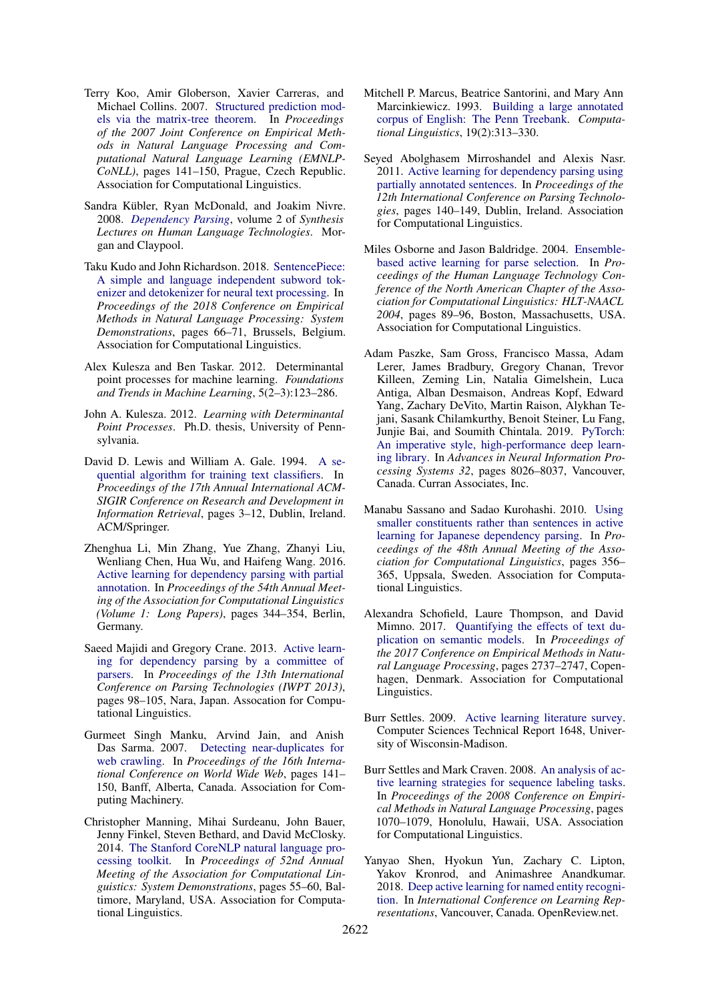- <span id="page-6-6"></span>Terry Koo, Amir Globerson, Xavier Carreras, and Michael Collins. 2007. [Structured prediction mod](https://www.aclweb.org/anthology/D07-1015)[els via the matrix-tree theorem.](https://www.aclweb.org/anthology/D07-1015) In *Proceedings of the 2007 Joint Conference on Empirical Methods in Natural Language Processing and Computational Natural Language Learning (EMNLP-CoNLL)*, pages 141–150, Prague, Czech Republic. Association for Computational Linguistics.
- <span id="page-6-4"></span>Sandra Kübler, Ryan McDonald, and Joakim Nivre. 2008. *[Dependency Parsing](https://doi.org/10.2200/S00169ED1V01Y200901HLT002)*, volume 2 of *Synthesis Lectures on Human Language Technologies*. Morgan and Claypool.
- <span id="page-6-17"></span>Taku Kudo and John Richardson. 2018. [SentencePiece:](https://doi.org/10.18653/v1/D18-2012) [A simple and language independent subword tok](https://doi.org/10.18653/v1/D18-2012)[enizer and detokenizer for neural text processing.](https://doi.org/10.18653/v1/D18-2012) In *Proceedings of the 2018 Conference on Empirical Methods in Natural Language Processing: System Demonstrations*, pages 66–71, Brussels, Belgium. Association for Computational Linguistics.
- <span id="page-6-3"></span>Alex Kulesza and Ben Taskar. 2012. Determinantal point processes for machine learning. *Foundations and Trends in Machine Learning*, 5(2–3):123–286.
- <span id="page-6-9"></span>John A. Kulesza. 2012. *Learning with Determinantal Point Processes*. Ph.D. thesis, University of Pennsylvania.
- <span id="page-6-5"></span>David D. Lewis and William A. Gale. 1994. [A se](https://doi.org/10.1007/978-1-4471-2099-5_1)[quential algorithm for training text classifiers.](https://doi.org/10.1007/978-1-4471-2099-5_1) In *Proceedings of the 17th Annual International ACM-SIGIR Conference on Research and Development in Information Retrieval*, pages 3–12, Dublin, Ireland. ACM/Springer.
- <span id="page-6-2"></span>Zhenghua Li, Min Zhang, Yue Zhang, Zhanyi Liu, Wenliang Chen, Hua Wu, and Haifeng Wang. 2016. [Active learning for dependency parsing with partial](https://www.aclweb.org/anthology/P16-1033) [annotation.](https://www.aclweb.org/anthology/P16-1033) In *Proceedings of the 54th Annual Meeting of the Association for Computational Linguistics (Volume 1: Long Papers)*, pages 344–354, Berlin, Germany.
- <span id="page-6-16"></span>Saeed Majidi and Gregory Crane. 2013. [Active learn](https://www.aclweb.org/anthology/W13-5711)[ing for dependency parsing by a committee of](https://www.aclweb.org/anthology/W13-5711) [parsers.](https://www.aclweb.org/anthology/W13-5711) In *Proceedings of the 13th International Conference on Parsing Technologies (IWPT 2013)*, pages 98–105, Nara, Japan. Assocation for Computational Linguistics.
- <span id="page-6-8"></span>Gurmeet Singh Manku, Arvind Jain, and Anish Das Sarma. 2007. [Detecting near-duplicates for](https://doi.org/10.1145/1242572.1242592) [web crawling.](https://doi.org/10.1145/1242572.1242592) In *Proceedings of the 16th International Conference on World Wide Web*, pages 141– 150, Banff, Alberta, Canada. Association for Computing Machinery.
- <span id="page-6-10"></span>Christopher Manning, Mihai Surdeanu, John Bauer, Jenny Finkel, Steven Bethard, and David McClosky. 2014. [The Stanford CoreNLP natural language pro](https://doi.org/10.3115/v1/P14-5010)[cessing toolkit.](https://doi.org/10.3115/v1/P14-5010) In *Proceedings of 52nd Annual Meeting of the Association for Computational Linguistics: System Demonstrations*, pages 55–60, Baltimore, Maryland, USA. Association for Computational Linguistics.
- <span id="page-6-0"></span>Mitchell P. Marcus, Beatrice Santorini, and Mary Ann Marcinkiewicz. 1993. [Building a large annotated](https://www.aclweb.org/anthology/J93-2004) [corpus of English: The Penn Treebank.](https://www.aclweb.org/anthology/J93-2004) *Computational Linguistics*, 19(2):313–330.
- <span id="page-6-15"></span>Seyed Abolghasem Mirroshandel and Alexis Nasr. 2011. [Active learning for dependency parsing using](https://www.aclweb.org/anthology/W11-2917) [partially annotated sentences.](https://www.aclweb.org/anthology/W11-2917) In *Proceedings of the 12th International Conference on Parsing Technologies*, pages 140–149, Dublin, Ireland. Association for Computational Linguistics.
- <span id="page-6-13"></span>Miles Osborne and Jason Baldridge. 2004. [Ensemble](https://www.aclweb.org/anthology/N04-1012)[based active learning for parse selection.](https://www.aclweb.org/anthology/N04-1012) In *Proceedings of the Human Language Technology Conference of the North American Chapter of the Association for Computational Linguistics: HLT-NAACL 2004*, pages 89–96, Boston, Massachusetts, USA. Association for Computational Linguistics.
- <span id="page-6-18"></span>Adam Paszke, Sam Gross, Francisco Massa, Adam Lerer, James Bradbury, Gregory Chanan, Trevor Killeen, Zeming Lin, Natalia Gimelshein, Luca Antiga, Alban Desmaison, Andreas Kopf, Edward Yang, Zachary DeVito, Martin Raison, Alykhan Tejani, Sasank Chilamkurthy, Benoit Steiner, Lu Fang, Junjie Bai, and Soumith Chintala. 2019. [PyTorch:](http://papers.nips.cc/paper/9015-pytorch-an-imperative-style-high-performance-deep-learning-library.pdf) [An imperative style, high-performance deep learn](http://papers.nips.cc/paper/9015-pytorch-an-imperative-style-high-performance-deep-learning-library.pdf)[ing library.](http://papers.nips.cc/paper/9015-pytorch-an-imperative-style-high-performance-deep-learning-library.pdf) In *Advances in Neural Information Processing Systems 32*, pages 8026–8037, Vancouver, Canada. Curran Associates, Inc.
- <span id="page-6-14"></span>Manabu Sassano and Sadao Kurohashi. 2010. [Using](https://www.aclweb.org/anthology/P10-1037) [smaller constituents rather than sentences in active](https://www.aclweb.org/anthology/P10-1037) [learning for Japanese dependency parsing.](https://www.aclweb.org/anthology/P10-1037) In *Proceedings of the 48th Annual Meeting of the Association for Computational Linguistics*, pages 356– 365, Uppsala, Sweden. Association for Computational Linguistics.
- <span id="page-6-11"></span>Alexandra Schofield, Laure Thompson, and David Mimno. 2017. [Quantifying the effects of text du](https://doi.org/10.18653/v1/D17-1290)[plication on semantic models.](https://doi.org/10.18653/v1/D17-1290) In *Proceedings of the 2017 Conference on Empirical Methods in Natural Language Processing*, pages 2737–2747, Copenhagen, Denmark. Association for Computational Linguistics.
- <span id="page-6-1"></span>Burr Settles. 2009. [Active learning literature survey.](http://burrsettles.com/pub/settles.activelearning.pdf) Computer Sciences Technical Report 1648, University of Wisconsin-Madison.
- <span id="page-6-7"></span>Burr Settles and Mark Craven. 2008. [An analysis of ac](https://www.aclweb.org/anthology/D08-1112)[tive learning strategies for sequence labeling tasks.](https://www.aclweb.org/anthology/D08-1112) In *Proceedings of the 2008 Conference on Empirical Methods in Natural Language Processing*, pages 1070–1079, Honolulu, Hawaii, USA. Association for Computational Linguistics.
- <span id="page-6-12"></span>Yanyao Shen, Hyokun Yun, Zachary C. Lipton, Yakov Kronrod, and Animashree Anandkumar. 2018. [Deep active learning for named entity recogni](https://openreview.net/forum?id=ry018WZAZ)[tion.](https://openreview.net/forum?id=ry018WZAZ) In *International Conference on Learning Representations*, Vancouver, Canada. OpenReview.net.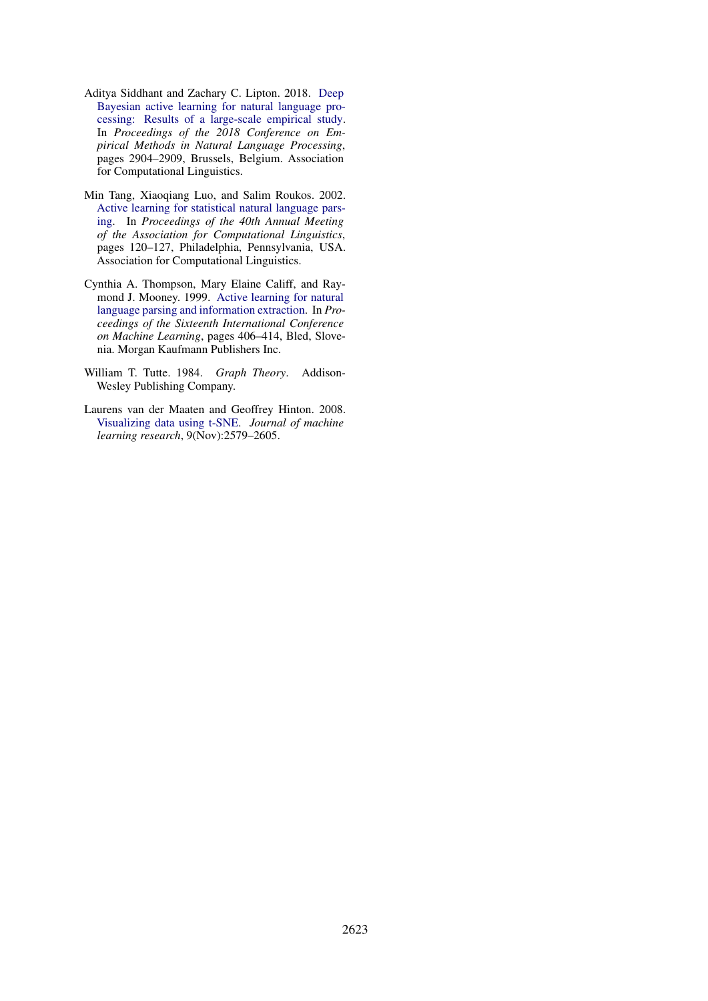- <span id="page-7-2"></span>Aditya Siddhant and Zachary C. Lipton. 2018. [Deep](https://doi.org/10.18653/v1/D18-1318) [Bayesian active learning for natural language pro](https://doi.org/10.18653/v1/D18-1318)[cessing: Results of a large-scale empirical study.](https://doi.org/10.18653/v1/D18-1318) In *Proceedings of the 2018 Conference on Empirical Methods in Natural Language Processing*, pages 2904–2909, Brussels, Belgium. Association for Computational Linguistics.
- <span id="page-7-0"></span>Min Tang, Xiaoqiang Luo, and Salim Roukos. 2002. [Active learning for statistical natural language pars](https://doi.org/10.3115/1073083.1073105)[ing.](https://doi.org/10.3115/1073083.1073105) In *Proceedings of the 40th Annual Meeting of the Association for Computational Linguistics*, pages 120–127, Philadelphia, Pennsylvania, USA. Association for Computational Linguistics.
- <span id="page-7-4"></span>Cynthia A. Thompson, Mary Elaine Califf, and Raymond J. Mooney. 1999. [Active learning for natural](https://www.cs.utexas.edu/~ml/papers/active-nll-ml99.pdf) [language parsing and information extraction.](https://www.cs.utexas.edu/~ml/papers/active-nll-ml99.pdf) In *Proceedings of the Sixteenth International Conference on Machine Learning*, pages 406–414, Bled, Slovenia. Morgan Kaufmann Publishers Inc.
- <span id="page-7-1"></span>William T. Tutte. 1984. *Graph Theory*. Addison-Wesley Publishing Company.
- <span id="page-7-3"></span>Laurens van der Maaten and Geoffrey Hinton. 2008. [Visualizing data using t-SNE.](https://jmlr.org/papers/volume9/vandermaaten08a/vandermaaten08a.pdf) *Journal of machine learning research*, 9(Nov):2579–2605.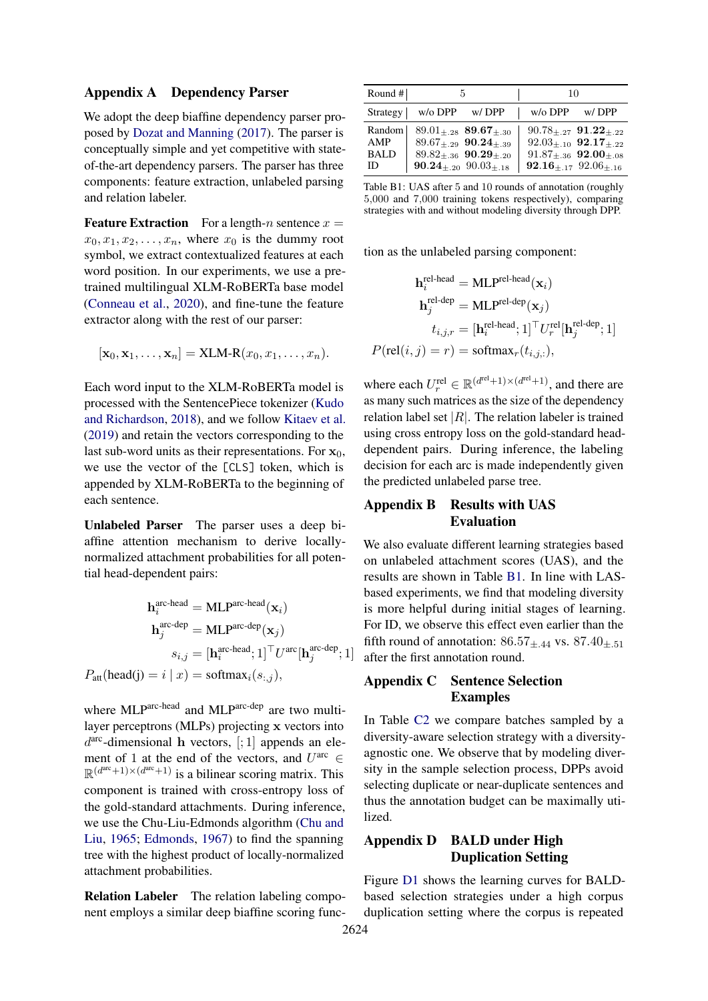#### <span id="page-8-0"></span>Appendix A Dependency Parser

We adopt the deep biaffine dependency parser proposed by [Dozat and Manning](#page-5-3) [\(2017\)](#page-5-3). The parser is conceptually simple and yet competitive with stateof-the-art dependency parsers. The parser has three components: feature extraction, unlabeled parsing and relation labeler.

**Feature Extraction** For a length-n sentence  $x =$  $x_0, x_1, x_2, \ldots, x_n$ , where  $x_0$  is the dummy root symbol, we extract contextualized features at each word position. In our experiments, we use a pretrained multilingual XLM-RoBERTa base model [\(Conneau et al.,](#page-5-8) [2020\)](#page-5-8), and fine-tune the feature extractor along with the rest of our parser:

$$
[\mathbf{x}_0, \mathbf{x}_1, \dots, \mathbf{x}_n] = \text{XLM-R}(x_0, x_1, \dots, x_n).
$$

Each word input to the XLM-RoBERTa model is processed with the SentencePiece tokenizer [\(Kudo](#page-6-17) [and Richardson,](#page-6-17) [2018\)](#page-6-17), and we follow [Kitaev et al.](#page-5-17) [\(2019\)](#page-5-17) and retain the vectors corresponding to the last sub-word units as their representations. For  $x_0$ , we use the vector of the [CLS] token, which is appended by XLM-RoBERTa to the beginning of each sentence.

Unlabeled Parser The parser uses a deep biaffine attention mechanism to derive locallynormalized attachment probabilities for all potential head-dependent pairs:

$$
\mathbf{h}_{i}^{\text{arc-head}} = \text{MLP}^{\text{arc-head}}(\mathbf{x}_{i})
$$

$$
\mathbf{h}_{j}^{\text{arc-dep}} = \text{MLP}^{\text{arc-dep}}(\mathbf{x}_{j})
$$

$$
s_{i,j} = [\mathbf{h}_{i}^{\text{arc-head}}; 1]^{\top} U^{\text{arc}}[\mathbf{h}_{j}^{\text{arc-dep}}; 1]
$$

$$
P_{\text{att}}(\text{head}(j) = i | x) = \text{softmax}_{i}(s_{:,j}),
$$

where MLParc-head and MLParc-dep are two multilayer perceptrons (MLPs) projecting x vectors into  $d^{\text{arc}}$ -dimensional h vectors, [; 1] appends an element of 1 at the end of the vectors, and  $U^{\text{arc}} \in$  $\mathbb{R}^{(d^{\text{arc}}+1)\times(d^{\text{arc}}+1)}$  is a bilinear scoring matrix. This component is trained with cross-entropy loss of the gold-standard attachments. During inference, we use the Chu-Liu-Edmonds algorithm [\(Chu and](#page-5-18) [Liu,](#page-5-18) [1965;](#page-5-18) [Edmonds,](#page-5-19) [1967\)](#page-5-19) to find the spanning tree with the highest product of locally-normalized attachment probabilities.

Relation Labeler The relation labeling component employs a similar deep biaffine scoring func-

<span id="page-8-3"></span>

| Round $#$   | 5                                    |       | 10                            |                                   |
|-------------|--------------------------------------|-------|-------------------------------|-----------------------------------|
| Strategy    | $w$ /o DPP                           | w/DPP | $w$ /o DPP                    | w/DPP                             |
| Random      | $89.01_{+.28}$ 89.67 $_{+.30}$       |       |                               | $90.78_{\pm.27}$ $91.22_{\pm.22}$ |
| AMP         | $89.67_{+29}$ 90.24 <sub>+39</sub>   |       |                               | $92.03_{+.10}$ $92.17_{+.22}$     |
| <b>BALD</b> | $89.82_{+.36}$ 90.29 <sub>+.20</sub> |       |                               | $91.87_{\pm.36}$ $92.00_{\pm.08}$ |
| ID          | $90.24_{+.20}$ $90.03_{+.18}$        |       | $92.16_{+.17}$ $92.06_{+.16}$ |                                   |

Table B1: UAS after 5 and 10 rounds of annotation (roughly 5,000 and 7,000 training tokens respectively), comparing strategies with and without modeling diversity through DPP.

tion as the unlabeled parsing component:

$$
\begin{aligned} \mathbf{h}^{\text{rel-head}}_i &= \text{MLP}^{\text{rel-head}}(\mathbf{x}_i) \\ \mathbf{h}^{\text{rel-dep}}_j &= \text{MLP}^{\text{rel-dep}}(\mathbf{x}_j) \\ t_{i,j,r} &= [\mathbf{h}^{\text{rel-head}}_i; 1]^\top U^{\text{rel}}_r[\mathbf{h}^{\text{rel-dep}}_j; 1] \\ P(\text{rel}(i,j) = r) &= \text{softmax}_r(t_{i,j,:}), \end{aligned}
$$

where each  $U_r^{\text{rel}} \in \mathbb{R}^{\left(d^{\text{rel}}+1\right) \times \left(d^{\text{rel}}+1\right)}$ , and there are as many such matrices as the size of the dependency relation label set  $|R|$ . The relation labeler is trained using cross entropy loss on the gold-standard headdependent pairs. During inference, the labeling decision for each arc is made independently given the predicted unlabeled parse tree.

## <span id="page-8-1"></span>Appendix B Results with UAS Evaluation

We also evaluate different learning strategies based on unlabeled attachment scores (UAS), and the results are shown in Table [B1.](#page-8-3) In line with LASbased experiments, we find that modeling diversity is more helpful during initial stages of learning. For ID, we observe this effect even earlier than the fifth round of annotation:  $86.57_{\pm.44}$  vs.  $87.40_{\pm.51}$ after the first annotation round.

## <span id="page-8-2"></span>Appendix C Sentence Selection Examples

In Table [C2](#page-9-0) we compare batches sampled by a diversity-aware selection strategy with a diversityagnostic one. We observe that by modeling diversity in the sample selection process, DPPs avoid selecting duplicate or near-duplicate sentences and thus the annotation budget can be maximally utilized.

## Appendix D BALD under High Duplication Setting

Figure [D1](#page-10-2) shows the learning curves for BALDbased selection strategies under a high corpus duplication setting where the corpus is repeated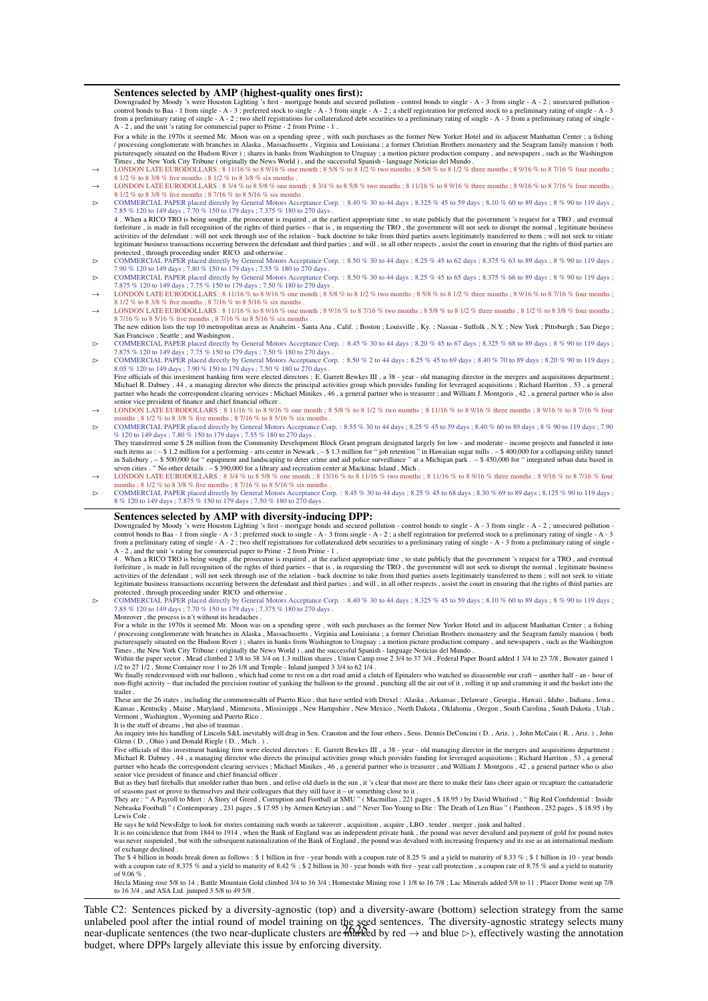#### <span id="page-9-0"></span>Sentences selected by AMP (highest-quality ones first):

Downgraded by Moody 's were Houston Lighting 's first - mortgage bonds and secured pollution - control bonds to single - A - 3 from single - A - 2 ; unsecured pollution -<br>control bonds to Baa - 1 from single - A - 3 ; pref from a preliminary rating of single - A - 2; two shelf registrations for collateralized debt securities to a preliminary rating of single - A - 3 from a preliminary rating of single - A - 3 from a preliminary rating of sin

For a while in the 1970s it seemed Mr. Moon was on a spending spree , with such purchases as the former New Yorker Hotel and its adjacent Manhattan Center ; a fishing / processing conglomerate with branches in Alaska , Massachusetts , Virginia and Louisiana ; a former Christian Brothers monastery and the Seagram family mansion ( both picturesquely situated on the Hudson River ) ; shares in banks from Washington to Uruguay ; a motion picture production company , and newspapers , such as the Washington

- Times , the New York City Tribune (originally the News World), and the successful Spanish language Noticias del Mundo.<br>  $\rightarrow$  LONDON LATE EURODOLLARS : 8 11/16 % to 8 9/16 % one month ; 8 5/8 % to 8 1/2 % two months ; 8
- LONDON LATE EURODOLLARS : 8 3/4 % to 8 5/8 % one month ; 8 3/4 % to 8 5/8 % two months ; 8 11/16 % to 8 9/16 % three months ; 8 9/16 % to 8 7/16 % four months ; % to 8 3/8 % five months : 8 7/16 % to 8 5/16 % six months .  $\triangleright$  COMMERCIAL PAPER placed directly by General Motors Acceptance Corp. : 8.40 % 30 to 44 days ; 8.325 % 45 to 59 days ; 8.10 % 60 to 89 days ; 8 % 90 to 119 days ;
- 7.85 % 120 to 149 days ; 7.70 % 150 to 179 days ; 7.375 % 180 to 270 days . 4. When a RICO TRO is being sought , the prosecutor is required , at the earliest appropriate time , to state publicly that the government 's request for a TRO , and eventual<br>forfeiture , is made in full recognition of the activities of the defendant ; will not seek through use of the relation - back doctrine to take from third parties assets legitimately transferred to them ; will not seek to vitiate legitimate business transactions occurring between the defendant and third parties ; and will , in all other respects , assist the court in ensuring that the rights of third parties are
- protected , through proceeding under RICO and otherwise .<br>  $\triangleright$  COMMERCIAL PAPER placed directly by General Motors Acceptance Corp. : 8.50 % 30 to 44 days ; 8.25 % 45 to 62 days ; 8.375 % 63 to 89 days ; 8 % 90 to 119 da
- 7.90 % 120 to 149 days ; 7.80 % 150 to 179 days ; 7.55 % 180 to 270 days .<br>
► COMMERCIAL PAPER placed directly by General Motors Acceptance Corp. : 8.50 % 30 to 44 days ; 8.25 % 45 to 65 days ; 8.375 % 66 to 89 days ; 8 %
- 7.875 % 120 to 149 days; 7.75 % 150 to 179 days; 7.50 % 180 to 270 days.<br>
→ LONDON LATE EURODOLLARS: 8 11/16 % to 8 9/16 % one month; 8 5/8 % to 8 1/2 % two months; 8 5/8 % to 8 1/2 % three months; 8 9/16 % to 8 7/16 % fo
- 8 1/2 % to 8 3/8 % five months ; 8 7/16 % to 8 5/16 % six months .<br>
→ LONDON LATE EURODOLLARS : 8 11/16 % to 8 9/16 % one month ; 8 9/16 % to 8 7/16 % two months ; 8 5/8 % to 8 1/2 % three months ; 8 1/2 % to 8 3/8 % fou 8 7/16 % to 8 5/16 % five months ; 8 7/16 % to 8 5/16 % six months The new edition lists the top 10 metropolitan areas as Anaheim - Santa Ana, Calif. ; Boston ; Louisville, Ky. ; Nassau - Suffolk, N.Y. ; New York ; Pittsburgh ; San Diego ;
- San Francisco ; Seattle ; and Washington .<br>  $\triangleright$  COMMERCIAL PAPER placed directly by General Motors Acceptance Corp. : 8.45 % 30 to 44 days ; 8.20 % 45 to 67 days ; 8.325 % 68 to 89 days ; 8 % 90 to 119 days ;
- 7.875 % 120 to 149 days; 7.75 % 150 to 179 days; 7.50 % 180 to 270 days.<br>
► COMMERCIAL PAPER placed directly by General Motors Acceptance Corp. : 8.50 % 2 to 44 days; 8.25 % 45 to 69 days; 8.40 % 70 to 89 days; 8.20 % 90 8.05 % 120 to 149 days : 7.90 % 150 to 179 days : 7.50 % 180 to 270 days
- Five officials of this investment banking firm were elected directors : E. Garrett Bewkes III , a 38 year old managing director in the mergers and acquisitions department ; Michael R. Dabney , 44 , a managing director who directs the principal activities group which provides funding for leveraged acquisitions ; Richard Harriton , 53 , a general<br>partner who heads the correspondent clearing ser enior vice president of finance and chief financial officer
- → LONDON LATE EURODOLLARS : 8 11/16 % to 8 9/16 % one month ; 8 5/8 % to 8 1/2 % two months ; 8 11/16 % to 8 9/16 % three months ; 8 9/16 % to 8 7/16 % to 8 7/16 % four months ; 8 1/2 % to 8 5/8 % five months ; 8 7/16 %
- COMMERCIAL PAPER placed directly by General Motors Acceptance Corp. : 8.55 % 30 to 44 days ; 8.25 % 45 to 59 days ; 8.40 % 60 to 89 days ; 8 % 90 to 119 days ; 7.90 % 120 to 149 days : 7.80 % 150 to 179 days : 7.55 % 180 to 270 days
- They transferred some \$ 28 million from the Community Development Block Grant program designated largely for low and moderate income projects and funneled it intc<br>such items as : \$ 1.2 million for a performing arts in Salisbury , – \$ 500,000 for " equipment and landscaping to deter crime and aid police surveillance " at a Michigan park . – \$ 450,000 for " integrated urban data based in<br>seven cities . " No other details . – \$ 390,000
- → LONDON LATE EURODOLLARS : 8 3/4 % to 8 5/8 % one month ; 8 13/16 % to 8 11/16 % two months ; 8 11/16 % to 8 9/16 % three months ; 8 9/16 % to 8 7/16 % four months ; 8 1/2 % to 8 3/8 % five months ; 8 7/16 % to 8 5/16 %
- COMMERCIAL PAPER placed directly by General Motors Acceptance Corp. : 8.45 % 30 to 44 days ; 8.25 % 45 to 68 days ; 8.30 % 69 to 89 days ; 8.125 % 90 to 119 days ; 8.61 % 90 to 119 days ; 7.675 % 150 to 179 days ; 7.50 %

#### Sentences selected by AMP with diversity-inducing DPP:

Downgraded by Moody 's were Houston Lighting 's first - mortgage bonds and secured pollution - control bonds to single - A - 3 from single - A - 2 ; unsecured pollution -<br>control bonds to Baa - 1 from single - A - 3 ; pref from a preliminary rating of single - A - 2 ; two shelf registrations for collateralized debt securities to a preliminary rating of single - A - 3 from a preliminary rating of single - A  $-2$ , and the unit 's rating for commercial paper to Prime  $-2$  from Prime  $-1$ .

4 . When a RICO TRO is being sought , the prosecutor is required , at the earliest appropriate time , to state publicly that the government 's request for a TRO , and eventual<br>forfeiture , is made in full recognition of th activities of the defendant ; will not seek through use of the relation - back doctrine to take from third parties assets legitimately transferred to them ; will not seek to vitiate<br>legitimate business transactions occurri protected , through proceeding under RICO and otherwise .

 COMMERCIAL PAPER placed directly by General Motors Acceptance Corp. : 8.40 % 30 to 44 days ; 8.325 % 45 to 59 days ; 8.10 % 60 to 89 days ; 8 % 90 to 119 days ; 7.85 % 120 to 149 days ; 7.70 % 150 to 179 days ; 7.375 % 180 to 270 days . Moreover , the process is n't without its headaches .

For a while in the 1970s it seemed Mr. Moon was on a spending spree , with such purchases as the former New Yorker Hotel and its adjacent Manhattan Center ; a fishing / processing conglomerate with branches in Alaska , Massachusetts , Virginia and Louisiana ; a former Christian Brothers monastery and the Seagram family mansion ( both<br>picturesquely situated on the Hudson River ) ; shares

Within the paper sector, Mead climbed 2 3/8 to 38 3/4 on 1.3 million shares, Union Camp rose 2 3/4 to 37 3/4, Federal Paper Board added 1 3/4 to 23 7/8, Bowater gained 1 1/2 to 27 1/2, Stone Container rose 1 to 26 1/8 and

We finally rendezvoused with our balloon , which had come to rest on a dirt road amid a clutch of Epinalers who watched us disassemble our craft – another half - an - hour of non-flight activity – that included the precision routine of yanking the balloon to the ground , punching all the air out of it , rolling it up and cramming it and the basket into the trailer

These are the 26 states , including the commonwealth of Puerto Rico , that have settled with Drexel : Alaska , Arkansas , Delaware , Georgia , Hawaii , Idaho , Indiana , Iowa ,<br>Kansas , Kentucky , Maine , Maryland , Minnes Vermont , Washington , Wyoming and Puerto Rico .

It is the stuff of dreams , but also of traumas .

An inquiry into his handling of Lincoln S&L inevitably will drag in Sen. Cranston and the four others , Sens. Dennis DeConcini ( D. , Ariz. ) , John McCain ( R. , Ariz. ) , John Glenn ( D., Ohio ) and Donald Riegle ( D., Mich.).

Five officials of this investment banking firm were elected directors : E. Garrett Bewkes III , a 38 - year - old managing director in the mergers and acquisitions department ;<br>Michael R. Dabney , 44 , a managing director partner who heads the correspondent clearing services ; Michael Minikes , 46 , a general partner who is treasurer ; and William J. Montgoris , 42 , a general partner who is also senior vice president of finance and chief financial officer

But as they hurl fireballs that smolder rather than burn , and relive old duels in the sun , it 's clear that most are there to make their fans cheer again or recapture the camaraderie<br>of seasons past or prove to themselve

Lewis Cole .

He says he told NewsEdge to look for stories containing such words as takeover, acquisition, acquire, LBO, tender, merger, junk and halted

It is no coincidence that from 1844 to 1914 , when the Bank of England was an independent private bank , the pound was never devalued and payment of gold for pound notes<br>was never suspended , but with the subsequent nation

of exchange declined .<br>The \$ 4 billion in bonds break down as follows : \$ 1 billion in five - year bonds with a coupon rate of 8.25 % and a yield to maturity of 8.33 % ; \$ 1 billion in 10 - year bonds<br>with a coupon rate of of 9.06 %

Hecla Mining rose 5/8 to 14 ; Battle Mountain Gold climbed 3/4 to 16 3/4 ; Homestake Mining rose 1 1/8 to 16 7/8 ; Lac Minerals added 5/8 to 11 ; Placer Dome went up 7/8<br>to 16 3/4 , and ASA Ltd. jumped 3 5/8 to 49 5/8 .

unlabeled pool after the intial round of model training on the seed sentences. The diversity-agnostic strategy selects many<br>near-duplicate sentences (the two near-duplicate clusters are harded by red  $\rightarrow$  and blue  $\triangleright$ ) Table C2: Sentences picked by a diversity-agnostic (top) and a diversity-aware (bottom) selection strategy from the same near-duplicate sentences (the two near-duplicate clusters are  $\frac{1}{2}$  and blue  $\geq$ ), effectively wasting the annotation budget, where DPPs largely alleviate this issue by enforcing diversity.